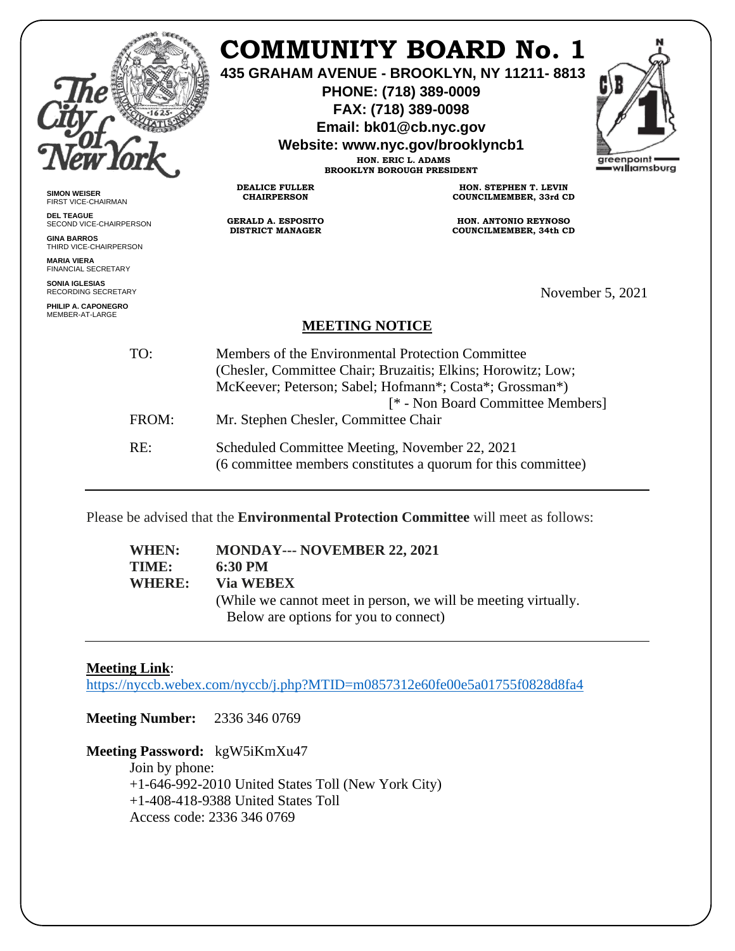|                                                     |                                                                                                                                                                                                                   | <b>COMMUNITY BOARD No. 1</b><br>435 GRAHAM AVENUE - BROOKLYN, NY 11211-8813<br>PHONE: (718) 389-0009<br>FAX: (718) 389-0098<br>Email: bk01@cb.nyc.gov<br>Website: www.nyc.gov/brooklyncb1<br>HON. ERIC L. ADAMS<br><b>BROOKLYN BOROUGH PRESIDENT</b> | greenpoint<br>=w <b>ıllı</b> amsburg |
|-----------------------------------------------------|-------------------------------------------------------------------------------------------------------------------------------------------------------------------------------------------------------------------|------------------------------------------------------------------------------------------------------------------------------------------------------------------------------------------------------------------------------------------------------|--------------------------------------|
| <b>SIMON WEISER</b><br>FIRST VICE-CHAIRMAN          | <b>DEALICE FULLER</b><br><b>CHAIRPERSON</b>                                                                                                                                                                       | HON. STEPHEN T. LEVIN<br>COUNCILMEMBER, 33rd CD                                                                                                                                                                                                      |                                      |
| <b>DEL TEAGUE</b><br>SECOND VICE-CHAIRPERSON        | <b>GERALD A. ESPOSITO</b>                                                                                                                                                                                         | HON. ANTONIO REYNOSO                                                                                                                                                                                                                                 |                                      |
| <b>GINA BARROS</b><br>THIRD VICE-CHAIRPERSON        | <b>DISTRICT MANAGER</b>                                                                                                                                                                                           | <b>COUNCILMEMBER, 34th CD</b>                                                                                                                                                                                                                        |                                      |
| <b>MARIA VIERA</b><br><b>FINANCIAL SECRETARY</b>    |                                                                                                                                                                                                                   |                                                                                                                                                                                                                                                      |                                      |
| <b>SONIA IGLESIAS</b><br><b>RECORDING SECRETARY</b> |                                                                                                                                                                                                                   |                                                                                                                                                                                                                                                      | November 5, 2021                     |
| PHILIP A. CAPONEGRO<br>MEMBER-AT-LARGE              |                                                                                                                                                                                                                   |                                                                                                                                                                                                                                                      |                                      |
| <b>MEETING NOTICE</b>                               |                                                                                                                                                                                                                   |                                                                                                                                                                                                                                                      |                                      |
| TO:                                                 | Members of the Environmental Protection Committee<br>(Chesler, Committee Chair; Bruzaitis; Elkins; Horowitz; Low;<br>McKeever; Peterson; Sabel; Hofmann*; Costa*; Grossman*)<br>[* - Non Board Committee Members] |                                                                                                                                                                                                                                                      |                                      |
| FROM:                                               | Mr. Stephen Chesler, Committee Chair                                                                                                                                                                              |                                                                                                                                                                                                                                                      |                                      |
| RE:                                                 | Scheduled Committee Meeting, November 22, 2021                                                                                                                                                                    | (6 committee members constitutes a quorum for this committee)                                                                                                                                                                                        |                                      |

Please be advised that the **Environmental Protection Committee** will meet as follows:

**WHEN: MONDAY--- NOVEMBER 22, 2021 TIME: 6:30 PM WHERE: Via WEBEX**  (While we cannot meet in person, we will be meeting virtually. Below are options for you to connect)

### **Meeting Link**:

<https://nyccb.webex.com/nyccb/j.php?MTID=m0857312e60fe00e5a01755f0828d8fa4>

**Meeting Number:** 2336 346 0769

**Meeting Password:** kgW5iKmXu47 Join by phone: +1-646-992-2010 United States Toll (New York City) +1-408-418-9388 United States Toll Access code: 2336 346 0769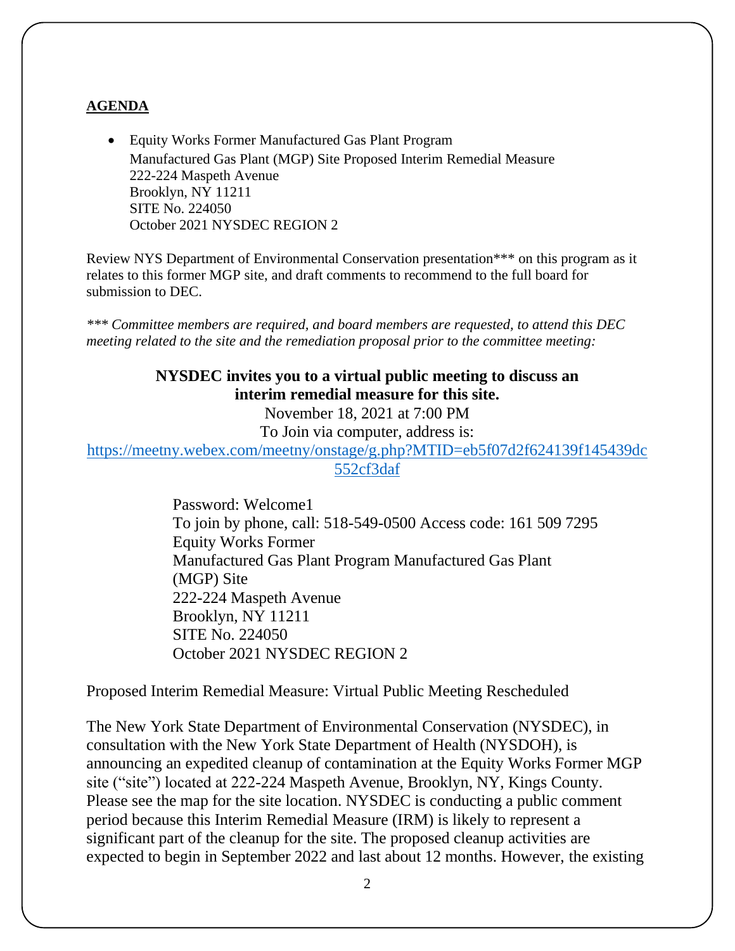#### **AGENDA**

• Equity Works Former Manufactured Gas Plant Program Manufactured Gas Plant (MGP) Site Proposed Interim Remedial Measure 222-224 Maspeth Avenue Brooklyn, NY 11211 SITE No. 224050 October 2021 NYSDEC REGION 2

Review NYS Department of Environmental Conservation presentation\*\*\* on this program as it relates to this former MGP site, and draft comments to recommend to the full board for submission to DEC.

*\*\*\* Committee members are required, and board members are requested, to attend this DEC meeting related to the site and the remediation proposal prior to the committee meeting:*

## **NYSDEC invites you to a virtual public meeting to discuss an interim remedial measure for this site.**

November 18, 2021 at 7:00 PM

To Join via computer, address is:

[https://meetny.webex.com/meetny/onstage/g.php?MTID=eb5f07d2f624139f145439dc](https://meetny.webex.com/meetny/onstage/g.php?MTID=eb5f07d2f624139f145439dc552cf3daf) [552cf3daf](https://meetny.webex.com/meetny/onstage/g.php?MTID=eb5f07d2f624139f145439dc552cf3daf)

> Password: Welcome1 To join by phone, call: 518-549-0500 Access code: 161 509 7295 Equity Works Former Manufactured Gas Plant Program Manufactured Gas Plant (MGP) Site 222-224 Maspeth Avenue Brooklyn, NY 11211 SITE No. 224050 October 2021 NYSDEC REGION 2

Proposed Interim Remedial Measure: Virtual Public Meeting Rescheduled

The New York State Department of Environmental Conservation (NYSDEC), in consultation with the New York State Department of Health (NYSDOH), is announcing an expedited cleanup of contamination at the Equity Works Former MGP site ("site") located at 222-224 Maspeth Avenue, Brooklyn, NY, Kings County. Please see the map for the site location. NYSDEC is conducting a public comment period because this Interim Remedial Measure (IRM) is likely to represent a significant part of the cleanup for the site. The proposed cleanup activities are expected to begin in September 2022 and last about 12 months. However, the existing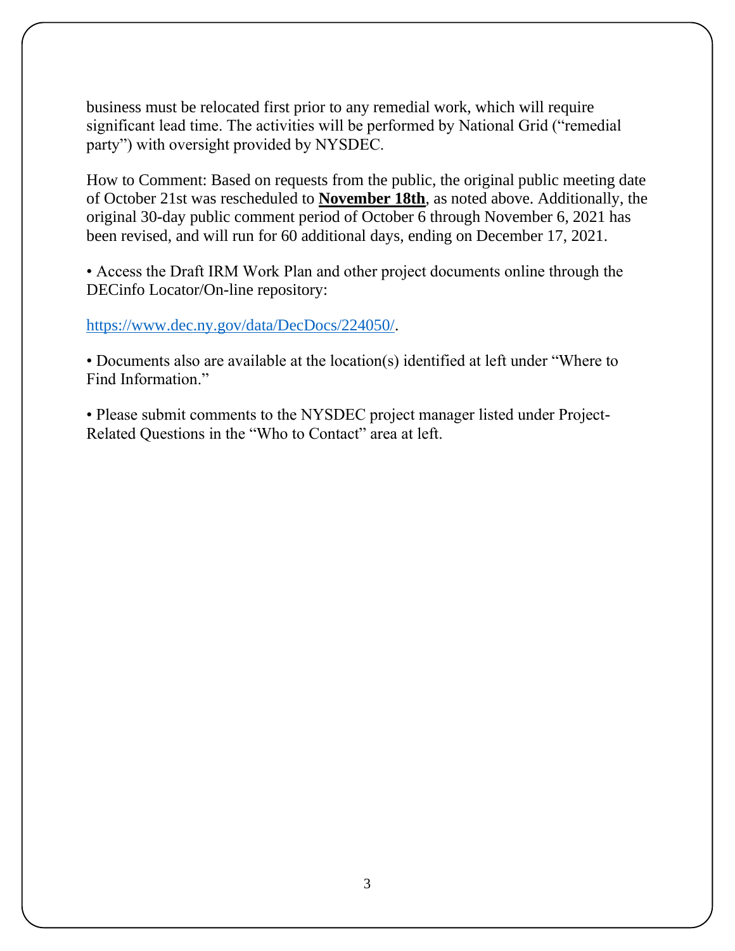business must be relocated first prior to any remedial work, which will require significant lead time. The activities will be performed by National Grid ("remedial party") with oversight provided by NYSDEC.

How to Comment: Based on requests from the public, the original public meeting date of October 21st was rescheduled to **November 18th**, as noted above. Additionally, the original 30-day public comment period of October 6 through November 6, 2021 has been revised, and will run for 60 additional days, ending on December 17, 2021.

• Access the Draft IRM Work Plan and other project documents online through the DECinfo Locator/On-line repository:

### [https://www.dec.ny.gov/data/DecDocs/224050/.](https://www.dec.ny.gov/data/DecDocs/224050/)

• Documents also are available at the location(s) identified at left under "Where to Find Information."

• Please submit comments to the NYSDEC project manager listed under Project-Related Questions in the "Who to Contact" area at left.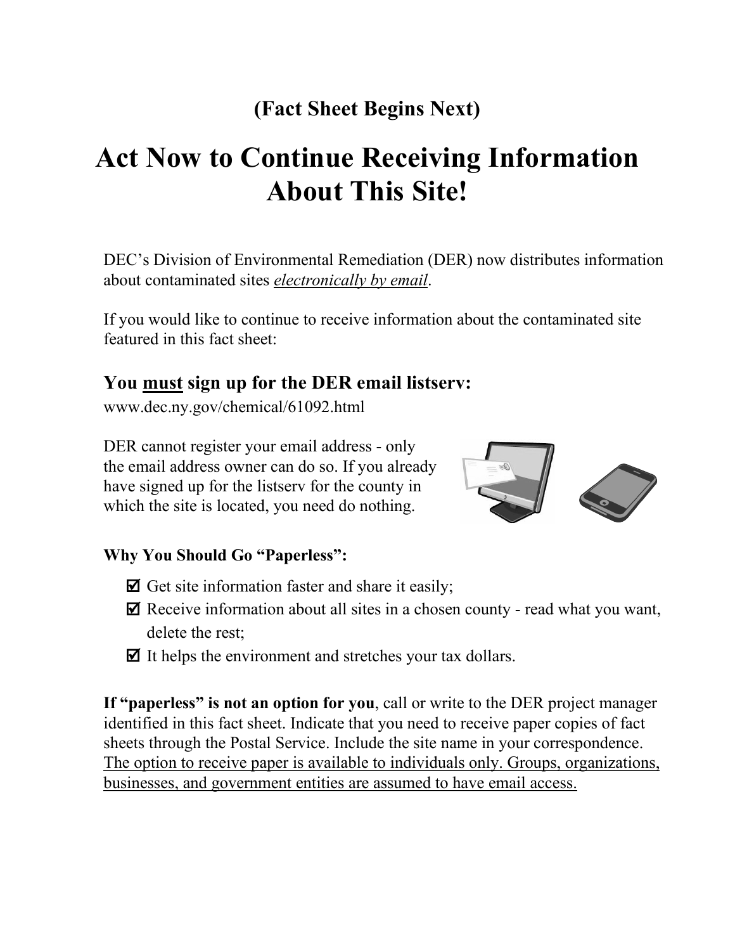# **(Fact Sheet Begins Next)**

# **Act Now to Continue Receiving Information About This Site!**

DEC's Division of Environmental Remediation (DER) now distributes information about contaminated sites *electronically by email*.

If you would like to continue to receive information about the contaminated site featured in this fact sheet:

# **You must sign up for the DER email listserv:**

www.dec.ny.gov/chemical/61092.html

DER cannot register your email address - only the email address owner can do so. If you already have signed up for the listserv for the county in which the site is located, you need do nothing.



### **Why You Should Go "Paperless":**

- $\boxtimes$  Get site information faster and share it easily;
- $\triangledown$  Receive information about all sites in a chosen county read what you want, delete the rest;
- $\triangledown$  It helps the environment and stretches your tax dollars.

**If "paperless" is not an option for you**, call or write to the DER project manager identified in this fact sheet. Indicate that you need to receive paper copies of fact sheets through the Postal Service. Include the site name in your correspondence. The option to receive paper is available to individuals only. Groups, organizations, businesses, and government entities are assumed to have email access.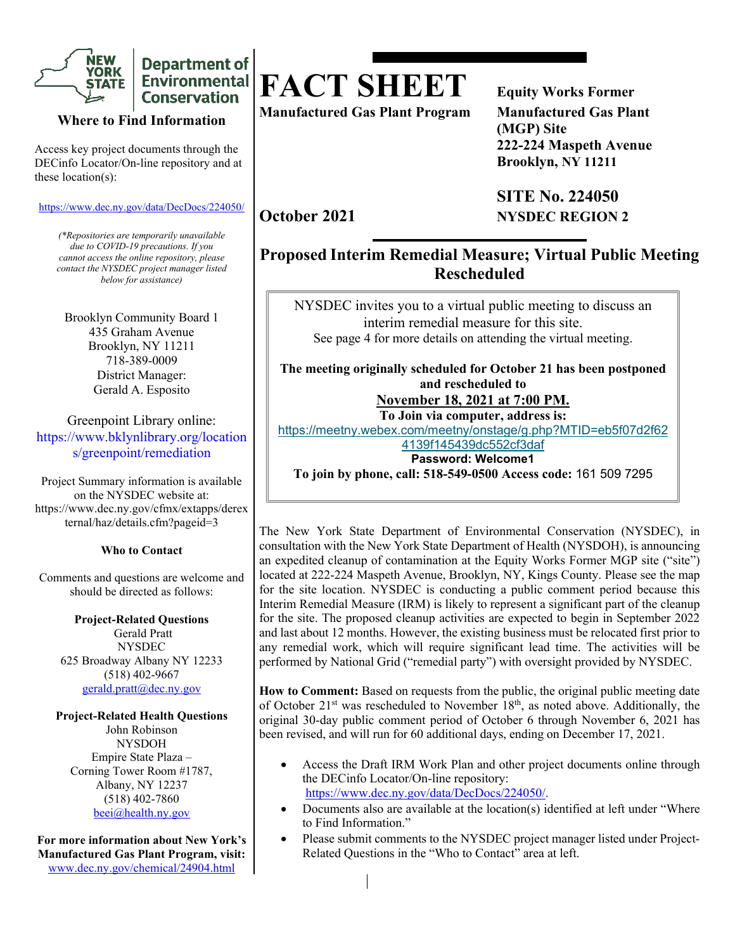

**Department of** Environmental **Conservation** 

#### **Where to Find Information**

Access key project documents through the DECinfo Locator/On-line repository and at these location(s):

<https://www.dec.ny.gov/data/DecDocs/224050/>

*(\*Repositories are temporarily unavailable due to COVID-19 precautions. If you cannot access the online repository, please contact the NYSDEC project manager listed below for assistance)*

Brooklyn Community Board 1 435 Graham Avenue Brooklyn, NY 11211 718-389-0009 District Manager: Gerald A. Esposito

Greenpoint Library online: https://www.bklynlibrary.org/location s/greenpoint/remediation

Project Summary information is available on the NYSDEC website at: https://www.dec.ny.gov/cfmx/extapps/derex ternal/haz/details.cfm?pageid=3

#### **Who to Contact**

Comments and questions are welcome and should be directed as follows:

> **Project-Related Questions** Gerald Pratt **NYSDEC** 625 Broadway Albany NY 12233 (518) 402-9667 [gerald.pratt@dec.ny.gov](mailto:gerald.pratt@dec.ny.gov)

#### **Project-Related Health Questions**

John Robinson NYSDOH Empire State Plaza – Corning Tower Room #1787, Albany, NY 12237 (518) 402-7860 [beei@health.ny.gov](mailto:beei@health.ny.gov)

**For more information about New York's Manufactured Gas Plant Program, visit:**  [www.dec.ny.gov/chemical/24904.html](https://www.dec.ny.gov/chemical/24904.html)

# **FACT SHEET Equity Works Former**

**Manufactured Gas Plant Program Manufactured Gas Plant**

**(MGP) Site 222-224 Maspeth Avenue Brooklyn, NY 11211** 

**SITE No. 224050 October 2021 NYSDEC REGION 2** 

## **Proposed Interim Remedial Measure; Virtual Public Meeting Rescheduled**

NYSDEC invites you to a virtual public meeting to discuss an interim remedial measure for this site. See page 4 for more details on attending the virtual meeting.

**The meeting originally scheduled for October 21 has been postponed and rescheduled to November 18, 2021 at 7:00 PM.** 

**To Join via computer, address is:** [https://meetny.webex.com/meetny/onstage/g.php?MTID=eb5f07d2f62](https://meetny.webex.com/meetny/onstage/g.php?MTID=eb5f07d2f624139f145439dc552cf3daf)

[4139f145439dc552cf3daf](https://meetny.webex.com/meetny/onstage/g.php?MTID=eb5f07d2f624139f145439dc552cf3daf) 

**Password: Welcome1**

**To join by phone, call: 518-549-0500 Access code:** 161 509 7295

The New York State Department of Environmental Conservation (NYSDEC), in consultation with the New York State Department of Health (NYSDOH), is announcing an expedited cleanup of contamination at the Equity Works Former MGP site ("site") located at 222-224 Maspeth Avenue, Brooklyn, NY, Kings County. Please see the map for the site location. NYSDEC is conducting a public comment period because this Interim Remedial Measure (IRM) is likely to represent a significant part of the cleanup for the site. The proposed cleanup activities are expected to begin in September 2022 and last about 12 months. However, the existing business must be relocated first prior to any remedial work, which will require significant lead time. The activities will be performed by National Grid ("remedial party") with oversight provided by NYSDEC.

**How to Comment:** Based on requests from the public, the original public meeting date of October  $21^{st}$  was rescheduled to November  $18^{th}$ , as noted above. Additionally, the original 30-day public comment period of October 6 through November 6, 2021 has been revised, and will run for 60 additional days, ending on December 17, 2021.

- Access the Draft IRM Work Plan and other project documents online through the DECinfo Locator/On-line repository: [https://www.dec.ny.gov/data/DecDocs/224050/.](https://www.dec.ny.gov/data/DecDocs/224050/)
- Documents also are available at the location(s) identified at left under "Where to Find Information."
- Please submit comments to the NYSDEC project manager listed under Project-Related Questions in the "Who to Contact" area at left.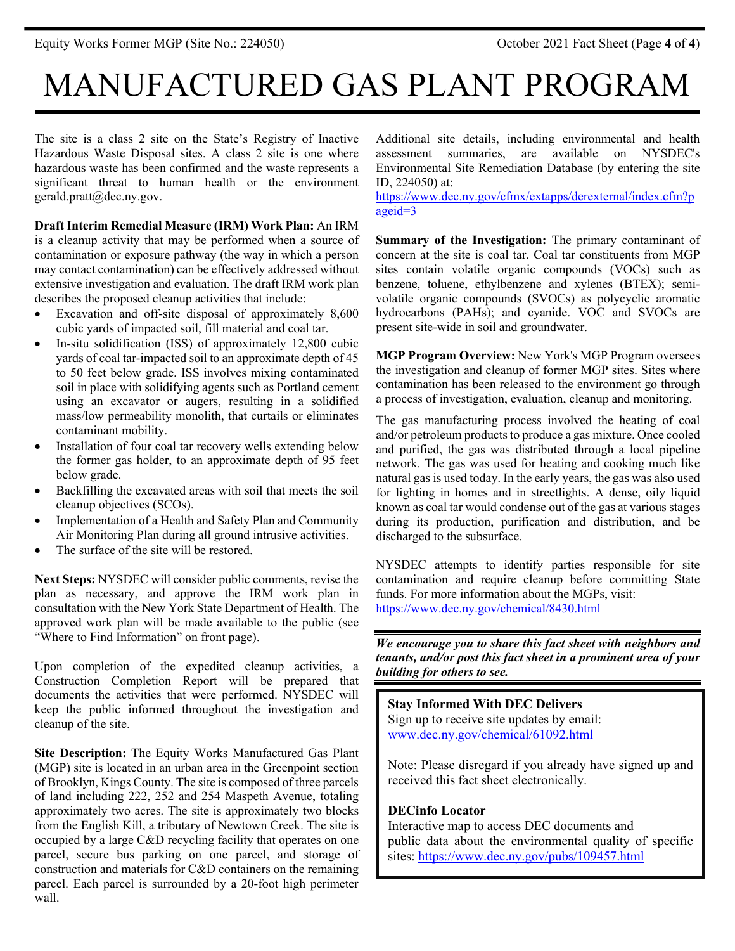# MANUFACTURED GAS PLANT PROGRAM

The site is a class 2 site on the State's Registry of Inactive Hazardous Waste Disposal sites. A class 2 site is one where hazardous waste has been confirmed and the waste represents a significant threat to human health or the environment gerald.pratt@dec.ny.gov.

**Draft Interim Remedial Measure (IRM) Work Plan:** An IRM is a cleanup activity that may be performed when a source of contamination or exposure pathway (the way in which a person may contact contamination) can be effectively addressed without extensive investigation and evaluation. The draft IRM work plan describes the proposed cleanup activities that include:

- Excavation and off-site disposal of approximately 8,600 cubic yards of impacted soil, fill material and coal tar.
- In-situ solidification (ISS) of approximately 12,800 cubic yards of coal tar-impacted soil to an approximate depth of 45 to 50 feet below grade. ISS involves mixing contaminated soil in place with solidifying agents such as Portland cement using an excavator or augers, resulting in a solidified mass/low permeability monolith, that curtails or eliminates contaminant mobility.
- Installation of four coal tar recovery wells extending below the former gas holder, to an approximate depth of 95 feet below grade.
- Backfilling the excavated areas with soil that meets the soil cleanup objectives (SCOs).
- Implementation of a Health and Safety Plan and Community Air Monitoring Plan during all ground intrusive activities.
- The surface of the site will be restored.

**Next Steps:** NYSDEC will consider public comments, revise the plan as necessary, and approve the IRM work plan in consultation with the New York State Department of Health. The approved work plan will be made available to the public (see "Where to Find Information" on front page).

Upon completion of the expedited cleanup activities, a Construction Completion Report will be prepared that documents the activities that were performed. NYSDEC will keep the public informed throughout the investigation and cleanup of the site.

**Site Description:** The Equity Works Manufactured Gas Plant (MGP) site is located in an urban area in the Greenpoint section of Brooklyn, Kings County. The site is composed of three parcels of land including 222, 252 and 254 Maspeth Avenue, totaling approximately two acres. The site is approximately two blocks from the English Kill, a tributary of Newtown Creek. The site is occupied by a large C&D recycling facility that operates on one parcel, secure bus parking on one parcel, and storage of construction and materials for C&D containers on the remaining parcel. Each parcel is surrounded by a 20-foot high perimeter wall.

Additional site details, including environmental and health assessment summaries, are available on NYSDEC's Environmental Site Remediation Database (by entering the site ID, 224050) at:

[https://www.dec.ny.gov/cfmx/extapps/derexternal/index.cfm?p](https://www.dec.ny.gov/cfmx/extapps/derexternal/index.cfm?pageid=3) [ageid=3](https://www.dec.ny.gov/cfmx/extapps/derexternal/index.cfm?pageid=3)

**Summary of the Investigation:** The primary contaminant of concern at the site is coal tar. Coal tar constituents from MGP sites contain volatile organic compounds (VOCs) such as benzene, toluene, ethylbenzene and xylenes (BTEX); semivolatile organic compounds (SVOCs) as polycyclic aromatic hydrocarbons (PAHs); and cyanide. VOC and SVOCs are present site-wide in soil and groundwater.

**MGP Program Overview:** New York's MGP Program oversees the investigation and cleanup of former MGP sites. Sites where contamination has been released to the environment go through a process of investigation, evaluation, cleanup and monitoring.

The gas manufacturing process involved the heating of coal and/or petroleum products to produce a gas mixture. Once cooled and purified, the gas was distributed through a local pipeline network. The gas was used for heating and cooking much like natural gas is used today. In the early years, the gas was also used for lighting in homes and in streetlights. A dense, oily liquid known as coal tar would condense out of the gas at various stages during its production, purification and distribution, and be discharged to the subsurface.

NYSDEC attempts to identify parties responsible for site contamination and require cleanup before committing State funds. For more information about the MGPs, visit: <https://www.dec.ny.gov/chemical/8430.html>

*We encourage you to share this fact sheet with neighbors and tenants, and/or post this fact sheet in a prominent area of your building for others to see.*

**Stay Informed With DEC Delivers** Sign up to receive site updates by email: [www.dec.ny.gov/chemical/61092.html](https://www.dec.ny.gov/chemical/61092.html)

Note: Please disregard if you already have signed up and received this fact sheet electronically.

#### **DECinfo Locator**

Interactive map to access DEC documents and public data about the environmental quality of specific sites:<https://www.dec.ny.gov/pubs/109457.html>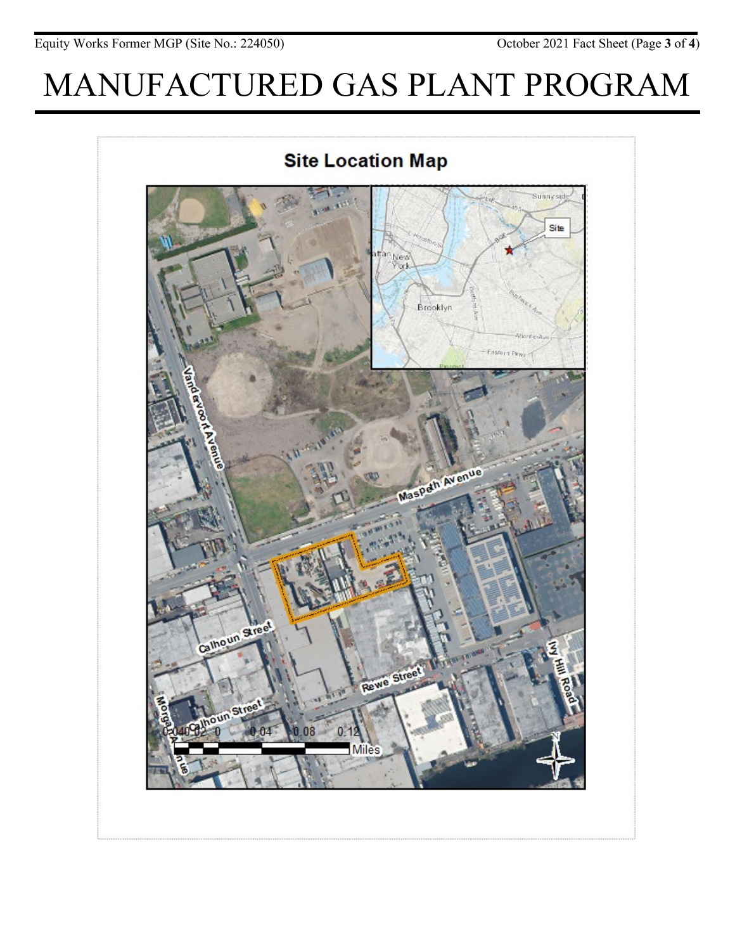# MANUFACTURED GAS PLANT PROGRAM



**Site Location Map**